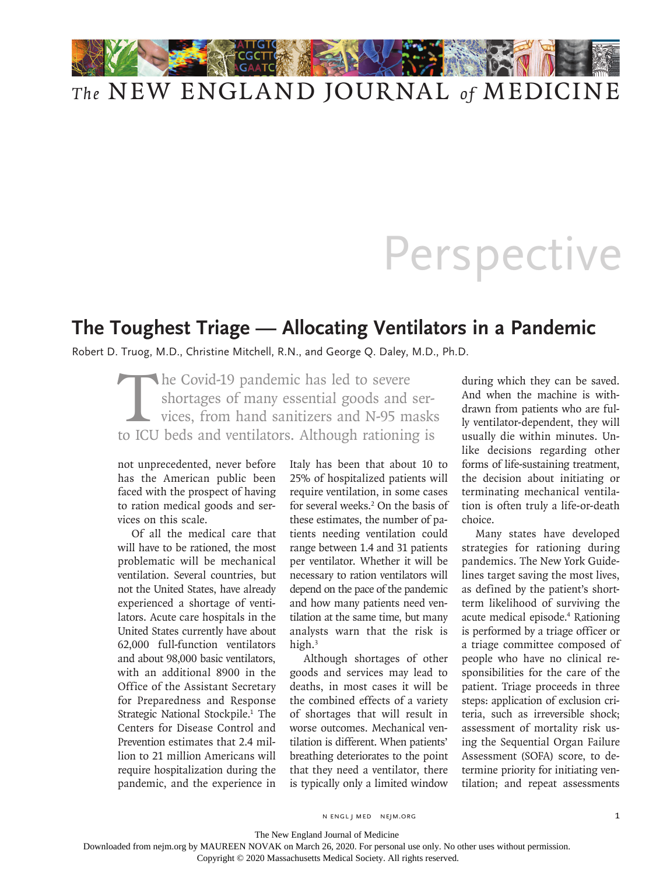## *The* NEW ENGLAND JOURNAL *of* MEDICINE

## Perspective

## **The Toughest Triage — Allocating Ventilators in a Pandemic**

Robert D. Truog, M.D., Christine Mitchell, R.N., and George Q. Daley, M.D., Ph.D.

The Covid-19 pandemic has led to severe<br>shortages of many essential goods and s<br>vices, from hand sanitizers and N-95 material for ICU beds and ventilators. Although rationing shortages of many essential goods and services, from hand sanitizers and N-95 masks to ICU beds and ventilators. Although rationing is

not unprecedented, never before has the American public been faced with the prospect of having to ration medical goods and services on this scale.

Of all the medical care that will have to be rationed, the most problematic will be mechanical ventilation. Several countries, but not the United States, have already experienced a shortage of ventilators. Acute care hospitals in the United States currently have about 62,000 full-function ventilators and about 98,000 basic ventilators, with an additional 8900 in the Office of the Assistant Secretary for Preparedness and Response Strategic National Stockpile.<sup>1</sup> The Centers for Disease Control and Prevention estimates that 2.4 million to 21 million Americans will require hospitalization during the pandemic, and the experience in

Italy has been that about 10 to 25% of hospitalized patients will require ventilation, in some cases for several weeks.<sup>2</sup> On the basis of these estimates, the number of patients needing ventilation could range between 1.4 and 31 patients per ventilator. Whether it will be necessary to ration ventilators will depend on the pace of the pandemic and how many patients need ventilation at the same time, but many analysts warn that the risk is high.3

Although shortages of other goods and services may lead to deaths, in most cases it will be the combined effects of a variety of shortages that will result in worse outcomes. Mechanical ventilation is different. When patients' breathing deteriorates to the point that they need a ventilator, there is typically only a limited window

during which they can be saved. And when the machine is withdrawn from patients who are fully ventilator-dependent, they will usually die within minutes. Unlike decisions regarding other forms of life-sustaining treatment, the decision about initiating or terminating mechanical ventilation is often truly a life-or-death choice.

Many states have developed strategies for rationing during pandemics. The New York Guidelines target saving the most lives, as defined by the patient's shortterm likelihood of surviving the acute medical episode.4 Rationing is performed by a triage officer or a triage committee composed of people who have no clinical responsibilities for the care of the patient. Triage proceeds in three steps: application of exclusion criteria, such as irreversible shock; assessment of mortality risk using the Sequential Organ Failure Assessment (SOFA) score, to determine priority for initiating ventilation; and repeat assessments

N ENGL J MED NEJM.ORG 1

The New England Journal of Medicine

Downloaded from nejm.org by MAUREEN NOVAK on March 26, 2020. For personal use only. No other uses without permission.

Copyright © 2020 Massachusetts Medical Society. All rights reserved.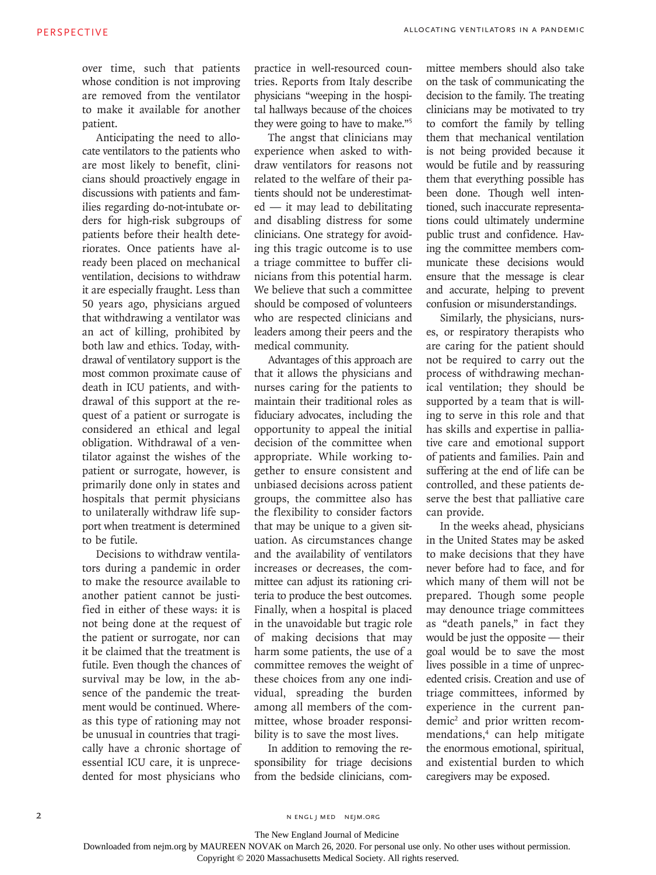over time, such that patients whose condition is not improving are removed from the ventilator to make it available for another patient.

Anticipating the need to allocate ventilators to the patients who are most likely to benefit, clinicians should proactively engage in discussions with patients and families regarding do-not-intubate orders for high-risk subgroups of patients before their health deteriorates. Once patients have already been placed on mechanical ventilation, decisions to withdraw it are especially fraught. Less than 50 years ago, physicians argued that withdrawing a ventilator was an act of killing, prohibited by both law and ethics. Today, withdrawal of ventilatory support is the most common proximate cause of death in ICU patients, and withdrawal of this support at the request of a patient or surrogate is considered an ethical and legal obligation. Withdrawal of a ventilator against the wishes of the patient or surrogate, however, is primarily done only in states and hospitals that permit physicians to unilaterally withdraw life support when treatment is determined to be futile.

Decisions to withdraw ventilators during a pandemic in order to make the resource available to another patient cannot be justified in either of these ways: it is not being done at the request of the patient or surrogate, nor can it be claimed that the treatment is futile. Even though the chances of survival may be low, in the absence of the pandemic the treatment would be continued. Whereas this type of rationing may not be unusual in countries that tragically have a chronic shortage of essential ICU care, it is unprecedented for most physicians who

practice in well-resourced countries. Reports from Italy describe physicians "weeping in the hospital hallways because of the choices they were going to have to make."5

The angst that clinicians may experience when asked to withdraw ventilators for reasons not related to the welfare of their patients should not be underestimated — it may lead to debilitating and disabling distress for some clinicians. One strategy for avoiding this tragic outcome is to use a triage committee to buffer clinicians from this potential harm. We believe that such a committee should be composed of volunteers who are respected clinicians and leaders among their peers and the medical community.

Advantages of this approach are that it allows the physicians and nurses caring for the patients to maintain their traditional roles as fiduciary advocates, including the opportunity to appeal the initial decision of the committee when appropriate. While working together to ensure consistent and unbiased decisions across patient groups, the committee also has the flexibility to consider factors that may be unique to a given situation. As circumstances change and the availability of ventilators increases or decreases, the committee can adjust its rationing criteria to produce the best outcomes. Finally, when a hospital is placed in the unavoidable but tragic role of making decisions that may harm some patients, the use of a committee removes the weight of these choices from any one individual, spreading the burden among all members of the committee, whose broader responsibility is to save the most lives.

In addition to removing the responsibility for triage decisions from the bedside clinicians, committee members should also take on the task of communicating the decision to the family. The treating clinicians may be motivated to try to comfort the family by telling them that mechanical ventilation is not being provided because it would be futile and by reassuring them that everything possible has been done. Though well intentioned, such inaccurate representations could ultimately undermine public trust and confidence. Having the committee members communicate these decisions would ensure that the message is clear and accurate, helping to prevent confusion or misunderstandings.

Similarly, the physicians, nurses, or respiratory therapists who are caring for the patient should not be required to carry out the process of withdrawing mechanical ventilation; they should be supported by a team that is willing to serve in this role and that has skills and expertise in palliative care and emotional support of patients and families. Pain and suffering at the end of life can be controlled, and these patients deserve the best that palliative care can provide.

In the weeks ahead, physicians in the United States may be asked to make decisions that they have never before had to face, and for which many of them will not be prepared. Though some people may denounce triage committees as "death panels," in fact they would be just the opposite — their goal would be to save the most lives possible in a time of unprecedented crisis. Creation and use of triage committees, informed by experience in the current pandemic<sup>2</sup> and prior written recommendations,4 can help mitigate the enormous emotional, spiritual, and existential burden to which caregivers may be exposed.

The New England Journal of Medicine

Copyright © 2020 Massachusetts Medical Society. All rights reserved.